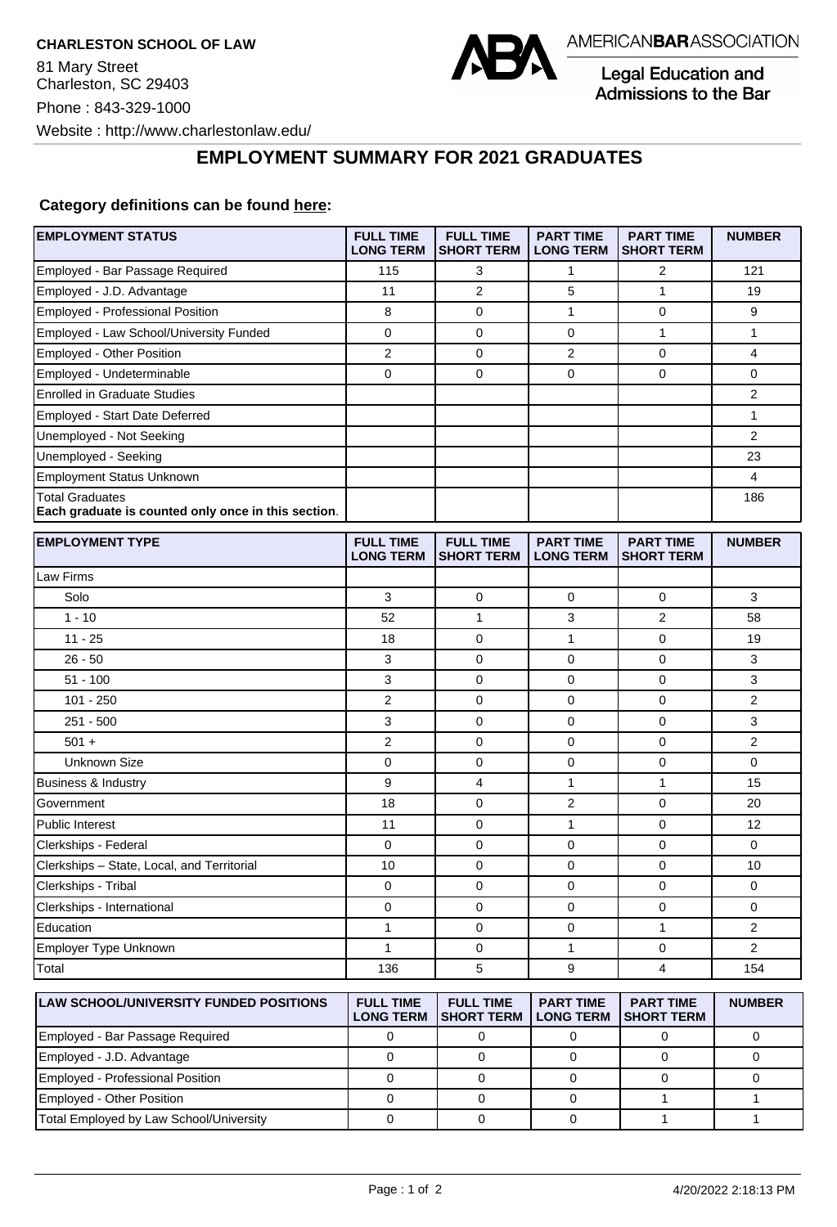

Legal Education and **Admissions to the Bar** 

**EMPLOYMENT SUMMARY FOR 2021 GRADUATES**

## **Category definitions can be found [here:](https://www.americanbar.org/content/dam/aba/administrative/legal_education_and_admissions_to_the_bar/Questionnaires/2021/2022-employment-protocols-for-the-class-of-2021-september-2021.pdf)**

| <b>EMPLOYMENT STATUS</b>                                                      | <b>FULL TIME</b><br><b>LONG TERM</b> | <b>FULL TIME</b><br><b>SHORT TERM</b> | <b>PART TIME</b><br><b>LONG TERM</b> | <b>PART TIME</b><br><b>SHORT TERM</b> | <b>NUMBER</b>  |
|-------------------------------------------------------------------------------|--------------------------------------|---------------------------------------|--------------------------------------|---------------------------------------|----------------|
| Employed - Bar Passage Required                                               | 115                                  | 3                                     | 1                                    | $\overline{2}$                        | 121            |
| Employed - J.D. Advantage                                                     | 11                                   | $\overline{2}$                        | 5                                    | $\mathbf{1}$                          | 19             |
| Employed - Professional Position                                              | 8                                    | $\mathbf 0$                           | $\mathbf{1}$                         | $\mathbf 0$                           | 9              |
| Employed - Law School/University Funded                                       | $\mathbf 0$                          | $\mathbf 0$                           | 0                                    | $\mathbf{1}$                          | $\mathbf{1}$   |
| <b>Employed - Other Position</b>                                              | $\overline{2}$                       | $\mathbf 0$                           | $\overline{2}$                       | $\mathbf 0$                           | $\overline{4}$ |
| Employed - Undeterminable                                                     | $\mathbf 0$                          | 0                                     | 0                                    | $\mathbf 0$                           | $\mathbf 0$    |
| <b>Enrolled in Graduate Studies</b>                                           |                                      |                                       |                                      |                                       | $\overline{2}$ |
| Employed - Start Date Deferred                                                |                                      |                                       |                                      |                                       | $\mathbf{1}$   |
| Unemployed - Not Seeking                                                      |                                      |                                       |                                      |                                       | $\overline{2}$ |
| Unemployed - Seeking                                                          |                                      |                                       |                                      |                                       | 23             |
| <b>Employment Status Unknown</b>                                              |                                      |                                       |                                      |                                       | 4              |
| <b>Total Graduates</b><br>Each graduate is counted only once in this section. |                                      |                                       |                                      |                                       | 186            |
| <b>EMPLOYMENT TYPE</b>                                                        | <b>FULL TIME</b><br><b>LONG TERM</b> | <b>FULL TIME</b><br><b>SHORT TERM</b> | <b>PART TIME</b><br><b>LONG TERM</b> | <b>PART TIME</b><br><b>SHORT TERM</b> | <b>NUMBER</b>  |
| Law Firms                                                                     |                                      |                                       |                                      |                                       |                |
| Solo                                                                          | 3                                    | 0                                     | 0                                    | 0                                     | 3              |
| $1 - 10$                                                                      | 52                                   | 1                                     | 3                                    | $\overline{2}$                        | 58             |
| $11 - 25$                                                                     | 18                                   | 0                                     | $\mathbf{1}$                         | $\mathbf 0$                           | 19             |
| $26 - 50$                                                                     | 3                                    | 0                                     | 0                                    | $\mathbf 0$                           | 3              |
| $51 - 100$                                                                    | 3                                    | 0                                     | 0                                    | $\mathbf 0$                           | 3              |
| $101 - 250$                                                                   | $\overline{2}$                       | 0                                     | 0                                    | 0                                     | 2              |
| $251 - 500$                                                                   | 3                                    | $\mathbf 0$                           | 0                                    | $\mathbf 0$                           | 3              |
| $501 +$                                                                       | $\overline{2}$                       | $\mathbf 0$                           | 0                                    | $\mathbf 0$                           | $\overline{2}$ |
| <b>Unknown Size</b>                                                           | $\mathbf 0$                          | 0                                     | 0                                    | $\mathbf 0$                           | 0              |
| Business & Industry                                                           | 9                                    | 4                                     | $\mathbf{1}$                         | $\mathbf{1}$                          | 15             |
| Government                                                                    | 18                                   | 0                                     | $\overline{2}$                       | $\mathbf 0$                           | 20             |
| <b>Public Interest</b>                                                        | 11                                   | 0                                     | 1                                    | $\mathbf 0$                           | 12             |
| Clerkships - Federal                                                          | 0                                    | 0                                     | 0                                    | 0                                     | $\mathbf 0$    |
| Clerkships - State, Local, and Territorial                                    | 10                                   | $\mathbf 0$                           | 0                                    | $\mathbf 0$                           | 10             |
| Clerkships - Tribal                                                           | $\mathbf 0$                          | 0                                     | 0                                    | $\mathbf 0$                           | $\mathbf 0$    |
| Clerkships - International                                                    | 0                                    | 0                                     | 0                                    | 0                                     | $\mathbf 0$    |
| Education                                                                     | $\mathbf{1}$                         | 0                                     | 0                                    | $\mathbf{1}$                          | $\overline{2}$ |
| Employer Type Unknown                                                         | $\mathbf{1}$                         | 0                                     | $\mathbf{1}$                         | $\mathbf 0$                           | $\overline{2}$ |
| Total                                                                         | 136                                  | 5                                     | 9                                    | 4                                     | 154            |
| <b>LAW SCHOOL/UNIVERSITY FUNDED POSITIONS</b>                                 | <b>FULL TIME</b><br><b>LONG TERM</b> | <b>FULL TIME</b><br><b>SHORT TERM</b> | <b>PART TIME</b><br><b>LONG TERM</b> | <b>PART TIME</b><br><b>SHORT TERM</b> | <b>NUMBER</b>  |

| 1 LAN 001 100 LJ 01 1 I LI 10 1 1 0 1 1 D LD 1 D 0 1 1 1 0 1 1 0 1 1 0 1 1 0 1 1 0 1 1 0 1 1 0 1 1 0 | .<br>LONG TERM ISHORT TERM I LONG TERM ISHORT TERM | <u>. ART INIL</u> | . |
|------------------------------------------------------------------------------------------------------|----------------------------------------------------|-------------------|---|
| Employed - Bar Passage Required                                                                      |                                                    |                   |   |
| Employed - J.D. Advantage                                                                            |                                                    |                   |   |
| Employed - Professional Position                                                                     |                                                    |                   |   |
| Employed - Other Position                                                                            |                                                    |                   |   |
| Total Employed by Law School/University                                                              |                                                    |                   |   |